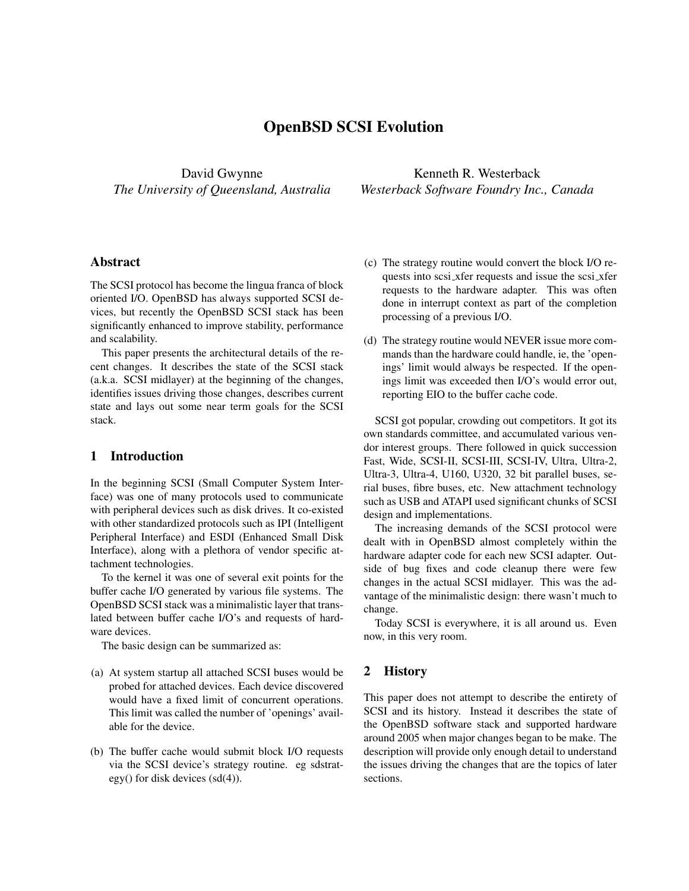# OpenBSD SCSI Evolution

David Gwynne *The University of Queensland, Australia*

Kenneth R. Westerback *Westerback Software Foundry Inc., Canada*

## Abstract

The SCSI protocol has become the lingua franca of block oriented I/O. OpenBSD has always supported SCSI devices, but recently the OpenBSD SCSI stack has been significantly enhanced to improve stability, performance and scalability.

This paper presents the architectural details of the recent changes. It describes the state of the SCSI stack (a.k.a. SCSI midlayer) at the beginning of the changes, identifies issues driving those changes, describes current state and lays out some near term goals for the SCSI stack.

## 1 Introduction

In the beginning SCSI (Small Computer System Interface) was one of many protocols used to communicate with peripheral devices such as disk drives. It co-existed with other standardized protocols such as IPI (Intelligent Peripheral Interface) and ESDI (Enhanced Small Disk Interface), along with a plethora of vendor specific attachment technologies.

To the kernel it was one of several exit points for the buffer cache I/O generated by various file systems. The OpenBSD SCSI stack was a minimalistic layer that translated between buffer cache I/O's and requests of hardware devices.

The basic design can be summarized as:

- (a) At system startup all attached SCSI buses would be probed for attached devices. Each device discovered would have a fixed limit of concurrent operations. This limit was called the number of 'openings' available for the device.
- (b) The buffer cache would submit block I/O requests via the SCSI device's strategy routine. eg sdstrategy() for disk devices (sd(4)).
- (c) The strategy routine would convert the block I/O requests into scsi\_xfer requests and issue the scsi\_xfer requests to the hardware adapter. This was often done in interrupt context as part of the completion processing of a previous I/O.
- (d) The strategy routine would NEVER issue more commands than the hardware could handle, ie, the 'openings' limit would always be respected. If the openings limit was exceeded then I/O's would error out, reporting EIO to the buffer cache code.

SCSI got popular, crowding out competitors. It got its own standards committee, and accumulated various vendor interest groups. There followed in quick succession Fast, Wide, SCSI-II, SCSI-III, SCSI-IV, Ultra, Ultra-2, Ultra-3, Ultra-4, U160, U320, 32 bit parallel buses, serial buses, fibre buses, etc. New attachment technology such as USB and ATAPI used significant chunks of SCSI design and implementations.

The increasing demands of the SCSI protocol were dealt with in OpenBSD almost completely within the hardware adapter code for each new SCSI adapter. Outside of bug fixes and code cleanup there were few changes in the actual SCSI midlayer. This was the advantage of the minimalistic design: there wasn't much to change.

Today SCSI is everywhere, it is all around us. Even now, in this very room.

#### 2 History

This paper does not attempt to describe the entirety of SCSI and its history. Instead it describes the state of the OpenBSD software stack and supported hardware around 2005 when major changes began to be make. The description will provide only enough detail to understand the issues driving the changes that are the topics of later sections.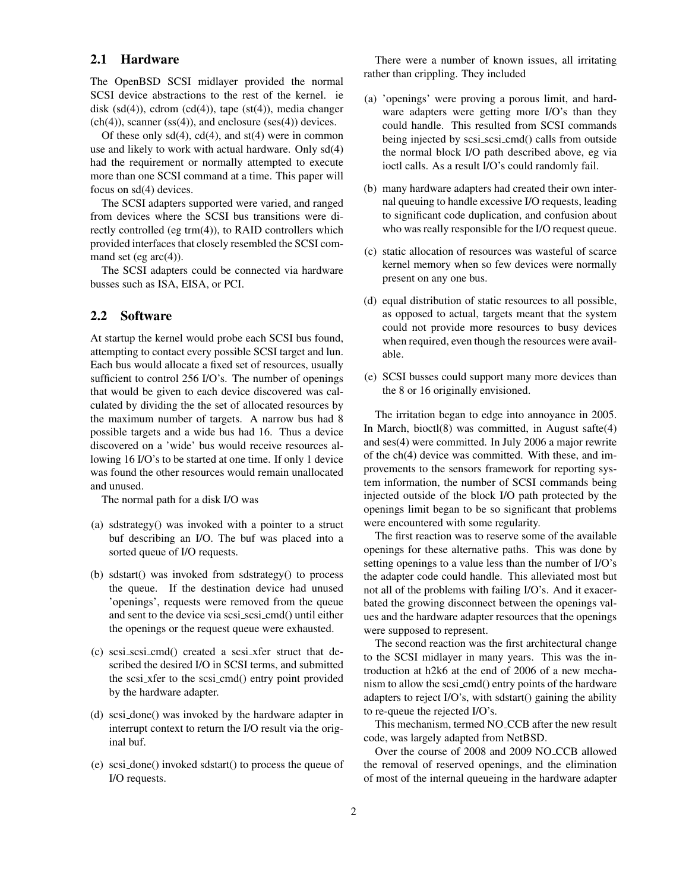#### 2.1 Hardware

The OpenBSD SCSI midlayer provided the normal SCSI device abstractions to the rest of the kernel. ie disk  $(sd(4))$ , cdrom  $(cd(4))$ , tape  $(st(4))$ , media changer  $(ch(4))$ , scanner (ss(4)), and enclosure (ses(4)) devices.

Of these only  $sd(4)$ ,  $cd(4)$ , and  $st(4)$  were in common use and likely to work with actual hardware. Only sd(4) had the requirement or normally attempted to execute more than one SCSI command at a time. This paper will focus on sd(4) devices.

The SCSI adapters supported were varied, and ranged from devices where the SCSI bus transitions were directly controlled (eg trm(4)), to RAID controllers which provided interfaces that closely resembled the SCSI command set (eg  $arc(4)$ ).

The SCSI adapters could be connected via hardware busses such as ISA, EISA, or PCI.

# 2.2 Software

At startup the kernel would probe each SCSI bus found, attempting to contact every possible SCSI target and lun. Each bus would allocate a fixed set of resources, usually sufficient to control 256 I/O's. The number of openings that would be given to each device discovered was calculated by dividing the the set of allocated resources by the maximum number of targets. A narrow bus had 8 possible targets and a wide bus had 16. Thus a device discovered on a 'wide' bus would receive resources allowing 16 I/O's to be started at one time. If only 1 device was found the other resources would remain unallocated and unused.

The normal path for a disk I/O was

- (a) sdstrategy() was invoked with a pointer to a struct buf describing an I/O. The buf was placed into a sorted queue of I/O requests.
- (b) sdstart() was invoked from sdstrategy() to process the queue. If the destination device had unused 'openings', requests were removed from the queue and sent to the device via scsi scsi cmd() until either the openings or the request queue were exhausted.
- (c) scsi scsi cmd() created a scsi xfer struct that described the desired I/O in SCSI terms, and submitted the scsi xfer to the scsi cmd() entry point provided by the hardware adapter.
- (d) scsi done() was invoked by the hardware adapter in interrupt context to return the I/O result via the original buf.
- (e) scsi done() invoked sdstart() to process the queue of I/O requests.

There were a number of known issues, all irritating rather than crippling. They included

- (a) 'openings' were proving a porous limit, and hardware adapters were getting more I/O's than they could handle. This resulted from SCSI commands being injected by scsi scsi cmd() calls from outside the normal block I/O path described above, eg via ioctl calls. As a result I/O's could randomly fail.
- (b) many hardware adapters had created their own internal queuing to handle excessive I/O requests, leading to significant code duplication, and confusion about who was really responsible for the I/O request queue.
- (c) static allocation of resources was wasteful of scarce kernel memory when so few devices were normally present on any one bus.
- (d) equal distribution of static resources to all possible, as opposed to actual, targets meant that the system could not provide more resources to busy devices when required, even though the resources were available.
- (e) SCSI busses could support many more devices than the 8 or 16 originally envisioned.

The irritation began to edge into annoyance in 2005. In March, bioctl(8) was committed, in August safte(4) and ses(4) were committed. In July 2006 a major rewrite of the ch(4) device was committed. With these, and improvements to the sensors framework for reporting system information, the number of SCSI commands being injected outside of the block I/O path protected by the openings limit began to be so significant that problems were encountered with some regularity.

The first reaction was to reserve some of the available openings for these alternative paths. This was done by setting openings to a value less than the number of I/O's the adapter code could handle. This alleviated most but not all of the problems with failing I/O's. And it exacerbated the growing disconnect between the openings values and the hardware adapter resources that the openings were supposed to represent.

The second reaction was the first architectural change to the SCSI midlayer in many years. This was the introduction at h2k6 at the end of 2006 of a new mechanism to allow the scsi cmd() entry points of the hardware adapters to reject I/O's, with sdstart() gaining the ability to re-queue the rejected I/O's.

This mechanism, termed NO CCB after the new result code, was largely adapted from NetBSD.

Over the course of 2008 and 2009 NO CCB allowed the removal of reserved openings, and the elimination of most of the internal queueing in the hardware adapter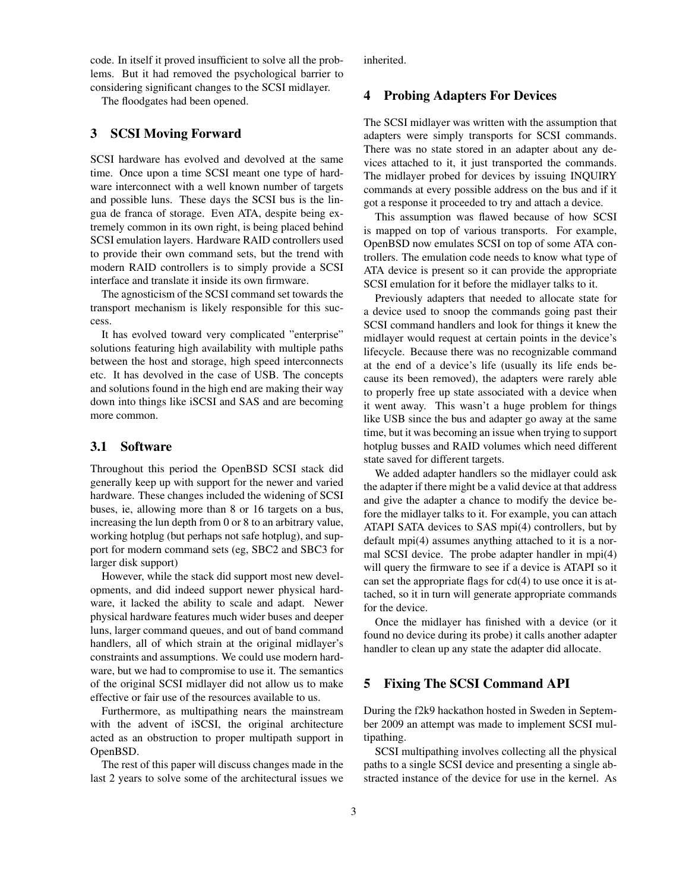code. In itself it proved insufficient to solve all the problems. But it had removed the psychological barrier to considering significant changes to the SCSI midlayer.

The floodgates had been opened.

#### 3 SCSI Moving Forward

SCSI hardware has evolved and devolved at the same time. Once upon a time SCSI meant one type of hardware interconnect with a well known number of targets and possible luns. These days the SCSI bus is the lingua de franca of storage. Even ATA, despite being extremely common in its own right, is being placed behind SCSI emulation layers. Hardware RAID controllers used to provide their own command sets, but the trend with modern RAID controllers is to simply provide a SCSI interface and translate it inside its own firmware.

The agnosticism of the SCSI command set towards the transport mechanism is likely responsible for this success.

It has evolved toward very complicated "enterprise" solutions featuring high availability with multiple paths between the host and storage, high speed interconnects etc. It has devolved in the case of USB. The concepts and solutions found in the high end are making their way down into things like iSCSI and SAS and are becoming more common.

#### 3.1 Software

Throughout this period the OpenBSD SCSI stack did generally keep up with support for the newer and varied hardware. These changes included the widening of SCSI buses, ie, allowing more than 8 or 16 targets on a bus, increasing the lun depth from 0 or 8 to an arbitrary value, working hotplug (but perhaps not safe hotplug), and support for modern command sets (eg, SBC2 and SBC3 for larger disk support)

However, while the stack did support most new developments, and did indeed support newer physical hardware, it lacked the ability to scale and adapt. Newer physical hardware features much wider buses and deeper luns, larger command queues, and out of band command handlers, all of which strain at the original midlayer's constraints and assumptions. We could use modern hardware, but we had to compromise to use it. The semantics of the original SCSI midlayer did not allow us to make effective or fair use of the resources available to us.

Furthermore, as multipathing nears the mainstream with the advent of iSCSI, the original architecture acted as an obstruction to proper multipath support in OpenBSD.

The rest of this paper will discuss changes made in the last 2 years to solve some of the architectural issues we inherited.

#### 4 Probing Adapters For Devices

The SCSI midlayer was written with the assumption that adapters were simply transports for SCSI commands. There was no state stored in an adapter about any devices attached to it, it just transported the commands. The midlayer probed for devices by issuing INQUIRY commands at every possible address on the bus and if it got a response it proceeded to try and attach a device.

This assumption was flawed because of how SCSI is mapped on top of various transports. For example, OpenBSD now emulates SCSI on top of some ATA controllers. The emulation code needs to know what type of ATA device is present so it can provide the appropriate SCSI emulation for it before the midlayer talks to it.

Previously adapters that needed to allocate state for a device used to snoop the commands going past their SCSI command handlers and look for things it knew the midlayer would request at certain points in the device's lifecycle. Because there was no recognizable command at the end of a device's life (usually its life ends because its been removed), the adapters were rarely able to properly free up state associated with a device when it went away. This wasn't a huge problem for things like USB since the bus and adapter go away at the same time, but it was becoming an issue when trying to support hotplug busses and RAID volumes which need different state saved for different targets.

We added adapter handlers so the midlayer could ask the adapter if there might be a valid device at that address and give the adapter a chance to modify the device before the midlayer talks to it. For example, you can attach ATAPI SATA devices to SAS mpi(4) controllers, but by default mpi(4) assumes anything attached to it is a normal SCSI device. The probe adapter handler in mpi(4) will query the firmware to see if a device is ATAPI so it can set the appropriate flags for cd(4) to use once it is attached, so it in turn will generate appropriate commands for the device.

Once the midlayer has finished with a device (or it found no device during its probe) it calls another adapter handler to clean up any state the adapter did allocate.

#### 5 Fixing The SCSI Command API

During the f2k9 hackathon hosted in Sweden in September 2009 an attempt was made to implement SCSI multipathing.

SCSI multipathing involves collecting all the physical paths to a single SCSI device and presenting a single abstracted instance of the device for use in the kernel. As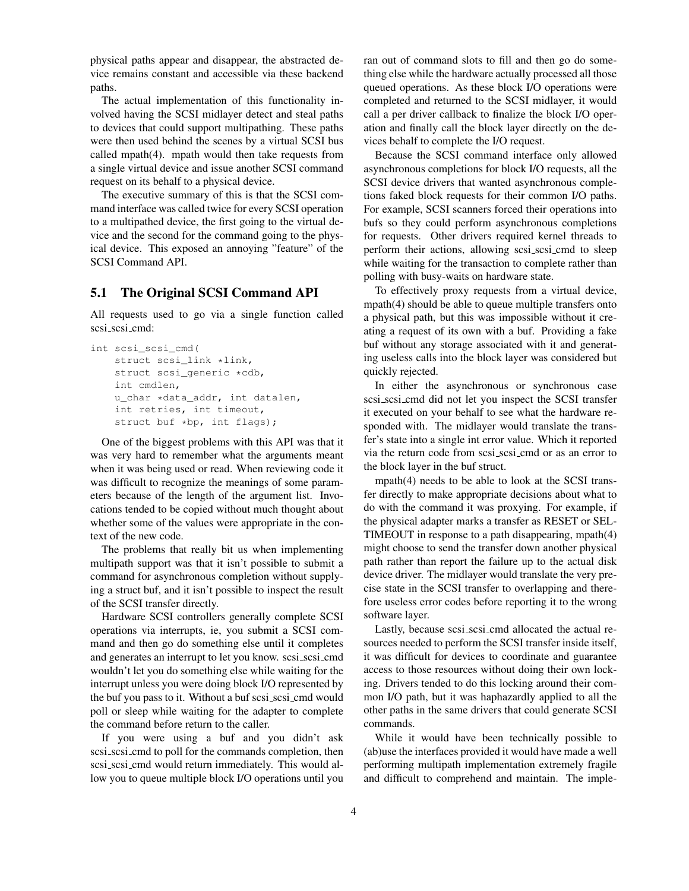physical paths appear and disappear, the abstracted device remains constant and accessible via these backend paths.

The actual implementation of this functionality involved having the SCSI midlayer detect and steal paths to devices that could support multipathing. These paths were then used behind the scenes by a virtual SCSI bus called mpath(4). mpath would then take requests from a single virtual device and issue another SCSI command request on its behalf to a physical device.

The executive summary of this is that the SCSI command interface was called twice for every SCSI operation to a multipathed device, the first going to the virtual device and the second for the command going to the physical device. This exposed an annoying "feature" of the SCSI Command API.

## 5.1 The Original SCSI Command API

All requests used to go via a single function called scsi\_scsi\_cmd:

```
int scsi_scsi_cmd(
    struct scsi_link *link,
    struct scsi_generic *cdb,
    int cmdlen,
    u_char *data_addr, int datalen,
    int retries, int timeout,
    struct buf *bp, int flags);
```
One of the biggest problems with this API was that it was very hard to remember what the arguments meant when it was being used or read. When reviewing code it was difficult to recognize the meanings of some parameters because of the length of the argument list. Invocations tended to be copied without much thought about whether some of the values were appropriate in the context of the new code.

The problems that really bit us when implementing multipath support was that it isn't possible to submit a command for asynchronous completion without supplying a struct buf, and it isn't possible to inspect the result of the SCSI transfer directly.

Hardware SCSI controllers generally complete SCSI operations via interrupts, ie, you submit a SCSI command and then go do something else until it completes and generates an interrupt to let you know. scsi\_scsi\_cmd wouldn't let you do something else while waiting for the interrupt unless you were doing block I/O represented by the buf you pass to it. Without a buf scsi scsi cmd would poll or sleep while waiting for the adapter to complete the command before return to the caller.

If you were using a buf and you didn't ask scsi scsi cmd to poll for the commands completion, then scsi scsi cmd would return immediately. This would allow you to queue multiple block I/O operations until you ran out of command slots to fill and then go do something else while the hardware actually processed all those queued operations. As these block I/O operations were completed and returned to the SCSI midlayer, it would call a per driver callback to finalize the block I/O operation and finally call the block layer directly on the devices behalf to complete the I/O request.

Because the SCSI command interface only allowed asynchronous completions for block I/O requests, all the SCSI device drivers that wanted asynchronous completions faked block requests for their common I/O paths. For example, SCSI scanners forced their operations into bufs so they could perform asynchronous completions for requests. Other drivers required kernel threads to perform their actions, allowing scsi scsi cmd to sleep while waiting for the transaction to complete rather than polling with busy-waits on hardware state.

To effectively proxy requests from a virtual device, mpath(4) should be able to queue multiple transfers onto a physical path, but this was impossible without it creating a request of its own with a buf. Providing a fake buf without any storage associated with it and generating useless calls into the block layer was considered but quickly rejected.

In either the asynchronous or synchronous case scsi scsi cmd did not let you inspect the SCSI transfer it executed on your behalf to see what the hardware responded with. The midlayer would translate the transfer's state into a single int error value. Which it reported via the return code from scsi scsi cmd or as an error to the block layer in the buf struct.

mpath(4) needs to be able to look at the SCSI transfer directly to make appropriate decisions about what to do with the command it was proxying. For example, if the physical adapter marks a transfer as RESET or SEL-TIMEOUT in response to a path disappearing, mpath(4) might choose to send the transfer down another physical path rather than report the failure up to the actual disk device driver. The midlayer would translate the very precise state in the SCSI transfer to overlapping and therefore useless error codes before reporting it to the wrong software layer.

Lastly, because scsi\_scsi\_cmd allocated the actual resources needed to perform the SCSI transfer inside itself, it was difficult for devices to coordinate and guarantee access to those resources without doing their own locking. Drivers tended to do this locking around their common I/O path, but it was haphazardly applied to all the other paths in the same drivers that could generate SCSI commands.

While it would have been technically possible to (ab)use the interfaces provided it would have made a well performing multipath implementation extremely fragile and difficult to comprehend and maintain. The imple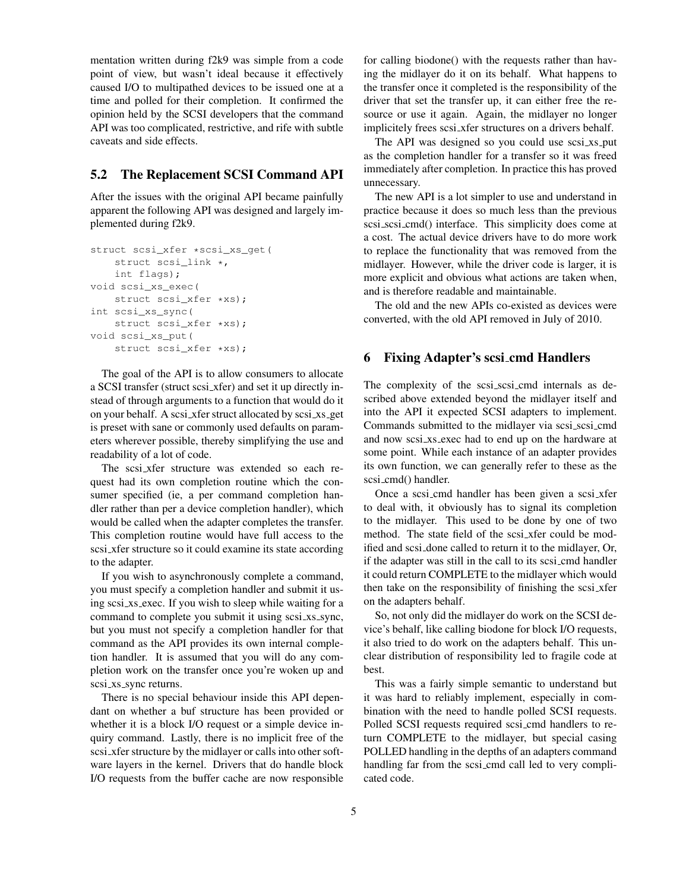mentation written during f2k9 was simple from a code point of view, but wasn't ideal because it effectively caused I/O to multipathed devices to be issued one at a time and polled for their completion. It confirmed the opinion held by the SCSI developers that the command API was too complicated, restrictive, and rife with subtle caveats and side effects.

## 5.2 The Replacement SCSI Command API

After the issues with the original API became painfully apparent the following API was designed and largely implemented during f2k9.

```
struct scsi_xfer *scsi_xs_get(
    struct scsi_link *,
    int flags);
void scsi_xs_exec(
    struct scsi_xfer *xs);
int scsi_xs_sync(
    struct scsi_xfer *xs);
void scsi_xs_put(
    struct scsi_xfer *xs);
```
The goal of the API is to allow consumers to allocate a SCSI transfer (struct scsi xfer) and set it up directly instead of through arguments to a function that would do it on your behalf. A scsi\_xfer struct allocated by scsi\_xs\_get is preset with sane or commonly used defaults on parameters wherever possible, thereby simplifying the use and readability of a lot of code.

The scsi\_xfer structure was extended so each request had its own completion routine which the consumer specified (ie, a per command completion handler rather than per a device completion handler), which would be called when the adapter completes the transfer. This completion routine would have full access to the scsi\_xfer structure so it could examine its state according to the adapter.

If you wish to asynchronously complete a command, you must specify a completion handler and submit it using scsi\_xs\_exec. If you wish to sleep while waiting for a command to complete you submit it using scsi xs sync, but you must not specify a completion handler for that command as the API provides its own internal completion handler. It is assumed that you will do any completion work on the transfer once you're woken up and scsi\_xs\_sync returns.

There is no special behaviour inside this API dependant on whether a buf structure has been provided or whether it is a block I/O request or a simple device inquiry command. Lastly, there is no implicit free of the scsi xfer structure by the midlayer or calls into other software layers in the kernel. Drivers that do handle block I/O requests from the buffer cache are now responsible for calling biodone() with the requests rather than having the midlayer do it on its behalf. What happens to the transfer once it completed is the responsibility of the driver that set the transfer up, it can either free the resource or use it again. Again, the midlayer no longer implicitely frees scsi xfer structures on a drivers behalf.

The API was designed so you could use scsi\_xs\_put as the completion handler for a transfer so it was freed immediately after completion. In practice this has proved unnecessary.

The new API is a lot simpler to use and understand in practice because it does so much less than the previous scsi\_scsi\_cmd() interface. This simplicity does come at a cost. The actual device drivers have to do more work to replace the functionality that was removed from the midlayer. However, while the driver code is larger, it is more explicit and obvious what actions are taken when, and is therefore readable and maintainable.

The old and the new APIs co-existed as devices were converted, with the old API removed in July of 2010.

# 6 Fixing Adapter's scsi cmd Handlers

The complexity of the scsi-scsi-cmd internals as described above extended beyond the midlayer itself and into the API it expected SCSI adapters to implement. Commands submitted to the midlayer via scsi scsi cmd and now scsi xs exec had to end up on the hardware at some point. While each instance of an adapter provides its own function, we can generally refer to these as the scsi cmd() handler.

Once a scsi\_cmd handler has been given a scsi\_xfer to deal with, it obviously has to signal its completion to the midlayer. This used to be done by one of two method. The state field of the scsi\_xfer could be modified and scsi done called to return it to the midlayer, Or, if the adapter was still in the call to its scsi cmd handler it could return COMPLETE to the midlayer which would then take on the responsibility of finishing the scsi xfer on the adapters behalf.

So, not only did the midlayer do work on the SCSI device's behalf, like calling biodone for block I/O requests, it also tried to do work on the adapters behalf. This unclear distribution of responsibility led to fragile code at best.

This was a fairly simple semantic to understand but it was hard to reliably implement, especially in combination with the need to handle polled SCSI requests. Polled SCSI requests required scsi cmd handlers to return COMPLETE to the midlayer, but special casing POLLED handling in the depths of an adapters command handling far from the scsi\_cmd call led to very complicated code.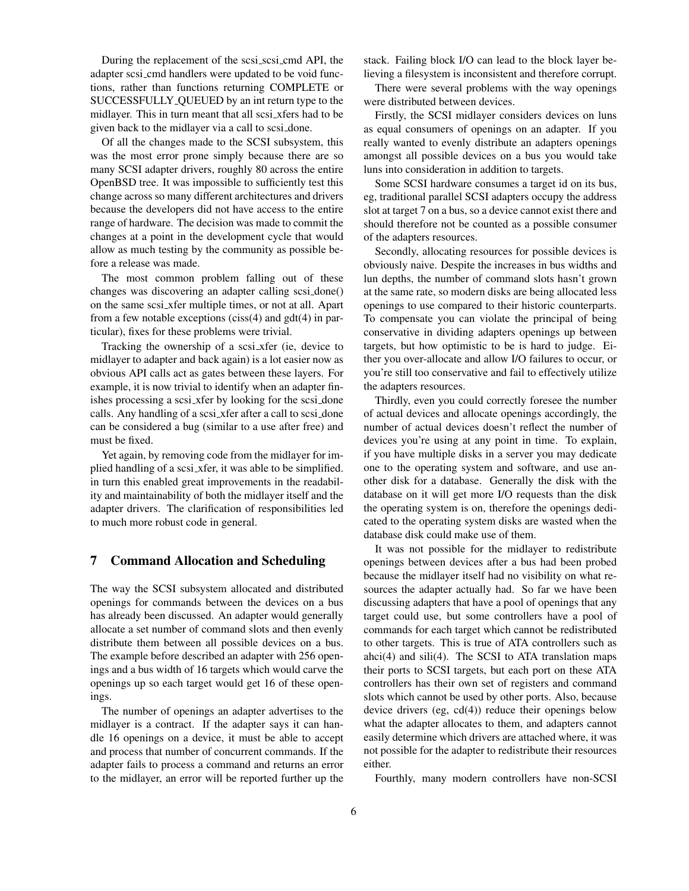During the replacement of the scsi\_scsi\_cmd API, the adapter scsi cmd handlers were updated to be void functions, rather than functions returning COMPLETE or SUCCESSFULLY QUEUED by an int return type to the midlayer. This in turn meant that all scsi xfers had to be given back to the midlayer via a call to scsi done.

Of all the changes made to the SCSI subsystem, this was the most error prone simply because there are so many SCSI adapter drivers, roughly 80 across the entire OpenBSD tree. It was impossible to sufficiently test this change across so many different architectures and drivers because the developers did not have access to the entire range of hardware. The decision was made to commit the changes at a point in the development cycle that would allow as much testing by the community as possible before a release was made.

The most common problem falling out of these changes was discovering an adapter calling scsi done() on the same scsi xfer multiple times, or not at all. Apart from a few notable exceptions (ciss(4) and gdt(4) in particular), fixes for these problems were trivial.

Tracking the ownership of a scsi xfer (ie, device to midlayer to adapter and back again) is a lot easier now as obvious API calls act as gates between these layers. For example, it is now trivial to identify when an adapter finishes processing a scsi xfer by looking for the scsi done calls. Any handling of a scsi xfer after a call to scsi done can be considered a bug (similar to a use after free) and must be fixed.

Yet again, by removing code from the midlayer for implied handling of a scsi xfer, it was able to be simplified. in turn this enabled great improvements in the readability and maintainability of both the midlayer itself and the adapter drivers. The clarification of responsibilities led to much more robust code in general.

#### 7 Command Allocation and Scheduling

The way the SCSI subsystem allocated and distributed openings for commands between the devices on a bus has already been discussed. An adapter would generally allocate a set number of command slots and then evenly distribute them between all possible devices on a bus. The example before described an adapter with 256 openings and a bus width of 16 targets which would carve the openings up so each target would get 16 of these openings.

The number of openings an adapter advertises to the midlayer is a contract. If the adapter says it can handle 16 openings on a device, it must be able to accept and process that number of concurrent commands. If the adapter fails to process a command and returns an error to the midlayer, an error will be reported further up the stack. Failing block I/O can lead to the block layer believing a filesystem is inconsistent and therefore corrupt.

There were several problems with the way openings were distributed between devices.

Firstly, the SCSI midlayer considers devices on luns as equal consumers of openings on an adapter. If you really wanted to evenly distribute an adapters openings amongst all possible devices on a bus you would take luns into consideration in addition to targets.

Some SCSI hardware consumes a target id on its bus, eg, traditional parallel SCSI adapters occupy the address slot at target 7 on a bus, so a device cannot exist there and should therefore not be counted as a possible consumer of the adapters resources.

Secondly, allocating resources for possible devices is obviously naive. Despite the increases in bus widths and lun depths, the number of command slots hasn't grown at the same rate, so modern disks are being allocated less openings to use compared to their historic counterparts. To compensate you can violate the principal of being conservative in dividing adapters openings up between targets, but how optimistic to be is hard to judge. Either you over-allocate and allow I/O failures to occur, or you're still too conservative and fail to effectively utilize the adapters resources.

Thirdly, even you could correctly foresee the number of actual devices and allocate openings accordingly, the number of actual devices doesn't reflect the number of devices you're using at any point in time. To explain, if you have multiple disks in a server you may dedicate one to the operating system and software, and use another disk for a database. Generally the disk with the database on it will get more I/O requests than the disk the operating system is on, therefore the openings dedicated to the operating system disks are wasted when the database disk could make use of them.

It was not possible for the midlayer to redistribute openings between devices after a bus had been probed because the midlayer itself had no visibility on what resources the adapter actually had. So far we have been discussing adapters that have a pool of openings that any target could use, but some controllers have a pool of commands for each target which cannot be redistributed to other targets. This is true of ATA controllers such as ahci $(4)$  and sili $(4)$ . The SCSI to ATA translation maps their ports to SCSI targets, but each port on these ATA controllers has their own set of registers and command slots which cannot be used by other ports. Also, because device drivers (eg, cd(4)) reduce their openings below what the adapter allocates to them, and adapters cannot easily determine which drivers are attached where, it was not possible for the adapter to redistribute their resources either.

Fourthly, many modern controllers have non-SCSI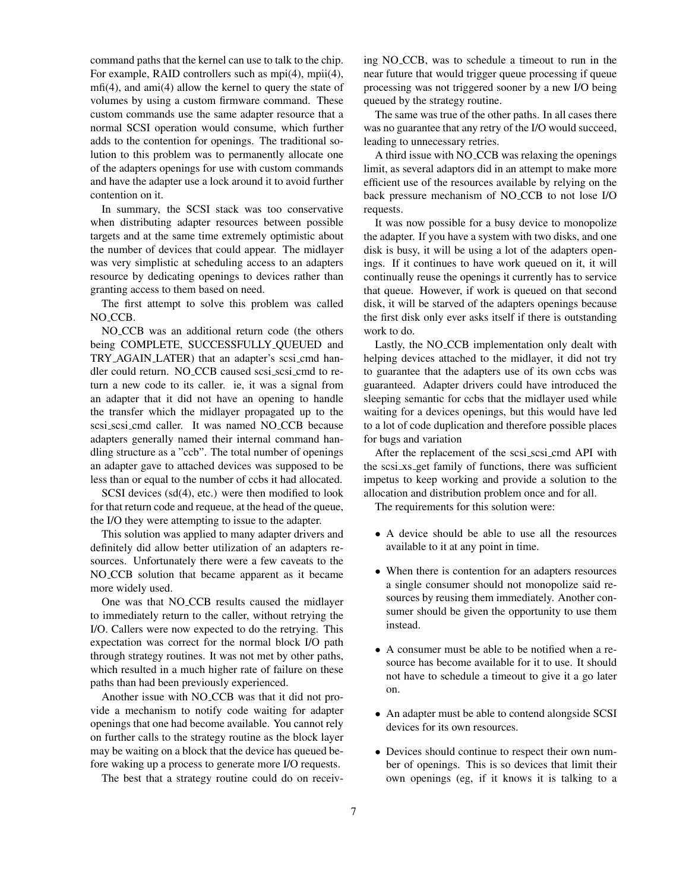command paths that the kernel can use to talk to the chip. For example, RAID controllers such as mpi(4), mpii(4), mfi(4), and ami(4) allow the kernel to query the state of volumes by using a custom firmware command. These custom commands use the same adapter resource that a normal SCSI operation would consume, which further adds to the contention for openings. The traditional solution to this problem was to permanently allocate one of the adapters openings for use with custom commands and have the adapter use a lock around it to avoid further contention on it.

In summary, the SCSI stack was too conservative when distributing adapter resources between possible targets and at the same time extremely optimistic about the number of devices that could appear. The midlayer was very simplistic at scheduling access to an adapters resource by dedicating openings to devices rather than granting access to them based on need.

The first attempt to solve this problem was called NO<sub>\_CCB</sub>.

NO CCB was an additional return code (the others being COMPLETE, SUCCESSFULLY QUEUED and TRY AGAIN LATER) that an adapter's scsi cmd handler could return. NO\_CCB caused scsi\_scsi\_cmd to return a new code to its caller. ie, it was a signal from an adapter that it did not have an opening to handle the transfer which the midlayer propagated up to the scsi\_scsi\_cmd caller. It was named NO\_CCB because adapters generally named their internal command handling structure as a "ccb". The total number of openings an adapter gave to attached devices was supposed to be less than or equal to the number of ccbs it had allocated.

SCSI devices (sd(4), etc.) were then modified to look for that return code and requeue, at the head of the queue, the I/O they were attempting to issue to the adapter.

This solution was applied to many adapter drivers and definitely did allow better utilization of an adapters resources. Unfortunately there were a few caveats to the NO CCB solution that became apparent as it became more widely used.

One was that NO CCB results caused the midlayer to immediately return to the caller, without retrying the I/O. Callers were now expected to do the retrying. This expectation was correct for the normal block I/O path through strategy routines. It was not met by other paths, which resulted in a much higher rate of failure on these paths than had been previously experienced.

Another issue with NO CCB was that it did not provide a mechanism to notify code waiting for adapter openings that one had become available. You cannot rely on further calls to the strategy routine as the block layer may be waiting on a block that the device has queued before waking up a process to generate more I/O requests.

The best that a strategy routine could do on receiv-

ing NO CCB, was to schedule a timeout to run in the near future that would trigger queue processing if queue processing was not triggered sooner by a new I/O being queued by the strategy routine.

The same was true of the other paths. In all cases there was no guarantee that any retry of the I/O would succeed, leading to unnecessary retries.

A third issue with NO CCB was relaxing the openings limit, as several adaptors did in an attempt to make more efficient use of the resources available by relying on the back pressure mechanism of NO CCB to not lose I/O requests.

It was now possible for a busy device to monopolize the adapter. If you have a system with two disks, and one disk is busy, it will be using a lot of the adapters openings. If it continues to have work queued on it, it will continually reuse the openings it currently has to service that queue. However, if work is queued on that second disk, it will be starved of the adapters openings because the first disk only ever asks itself if there is outstanding work to do.

Lastly, the NO CCB implementation only dealt with helping devices attached to the midlayer, it did not try to guarantee that the adapters use of its own ccbs was guaranteed. Adapter drivers could have introduced the sleeping semantic for ccbs that the midlayer used while waiting for a devices openings, but this would have led to a lot of code duplication and therefore possible places for bugs and variation

After the replacement of the scsi scsi cmd API with the scsi xs get family of functions, there was sufficient impetus to keep working and provide a solution to the allocation and distribution problem once and for all.

The requirements for this solution were:

- *•* A device should be able to use all the resources available to it at any point in time.
- *•* When there is contention for an adapters resources a single consumer should not monopolize said resources by reusing them immediately. Another consumer should be given the opportunity to use them instead.
- *•* A consumer must be able to be notified when a resource has become available for it to use. It should not have to schedule a timeout to give it a go later on.
- *•* An adapter must be able to contend alongside SCSI devices for its own resources.
- *•* Devices should continue to respect their own number of openings. This is so devices that limit their own openings (eg, if it knows it is talking to a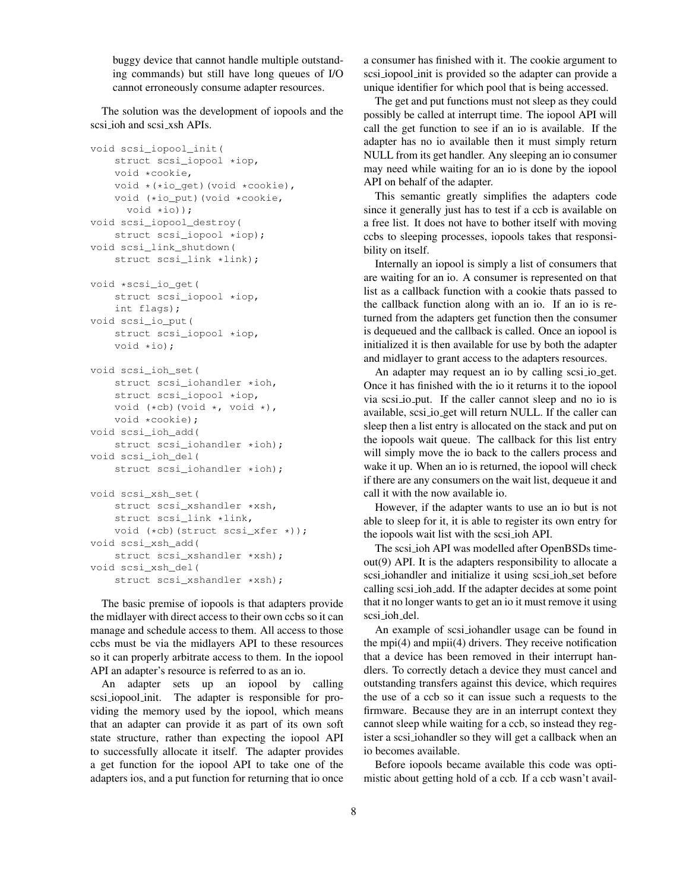buggy device that cannot handle multiple outstanding commands) but still have long queues of I/O cannot erroneously consume adapter resources.

The solution was the development of iopools and the scsi ioh and scsi xsh APIs.

```
void scsi_iopool_init(
    struct scsi_iopool *iop,
    void *cookie,
    void *(*io_get)(void *cookie),
    void (*io_put)(void *cookie,
      void *io));
void scsi_iopool_destroy(
   struct scsi_iopool *iop);
void scsi_link_shutdown(
    struct scsi_link *link);
void *scsi_io_get(
    struct scsi_iopool *iop,
    int flags);
void scsi_io_put(
    struct scsi_iopool *iop,
    void *io);
void scsi_ioh_set(
```

```
struct scsi_iohandler *ioh,
    struct scsi_iopool *iop,
   void (*cb)(void *, void *),
    void *cookie);
void scsi_ioh_add(
    struct scsi_iohandler *ioh);
void scsi_ioh_del(
```

```
struct scsi_iohandler *ioh);
```

```
void scsi_xsh_set(
    struct scsi_xshandler *xsh,
    struct scsi_link *link,
    void (*cb)(struct scsi_xfer *));
void scsi_xsh_add(
    struct scsi_xshandler *xsh);
void scsi_xsh_del(
    struct scsi_xshandler *xsh);
```
The basic premise of iopools is that adapters provide the midlayer with direct access to their own ccbs so it can manage and schedule access to them. All access to those ccbs must be via the midlayers API to these resources so it can properly arbitrate access to them. In the iopool API an adapter's resource is referred to as an io.

An adapter sets up an iopool by calling scsi iopool init. The adapter is responsible for providing the memory used by the iopool, which means that an adapter can provide it as part of its own soft state structure, rather than expecting the iopool API to successfully allocate it itself. The adapter provides a get function for the iopool API to take one of the adapters ios, and a put function for returning that io once a consumer has finished with it. The cookie argument to scsi iopool init is provided so the adapter can provide a unique identifier for which pool that is being accessed.

The get and put functions must not sleep as they could possibly be called at interrupt time. The iopool API will call the get function to see if an io is available. If the adapter has no io available then it must simply return NULL from its get handler. Any sleeping an io consumer may need while waiting for an io is done by the iopool API on behalf of the adapter.

This semantic greatly simplifies the adapters code since it generally just has to test if a ccb is available on a free list. It does not have to bother itself with moving ccbs to sleeping processes, iopools takes that responsibility on itself.

Internally an iopool is simply a list of consumers that are waiting for an io. A consumer is represented on that list as a callback function with a cookie thats passed to the callback function along with an io. If an io is returned from the adapters get function then the consumer is dequeued and the callback is called. Once an iopool is initialized it is then available for use by both the adapter and midlayer to grant access to the adapters resources.

An adapter may request an io by calling scsi io get. Once it has finished with the io it returns it to the iopool via scsi io put. If the caller cannot sleep and no io is available, scsi io get will return NULL. If the caller can sleep then a list entry is allocated on the stack and put on the iopools wait queue. The callback for this list entry will simply move the io back to the callers process and wake it up. When an io is returned, the iopool will check if there are any consumers on the wait list, dequeue it and call it with the now available io.

However, if the adapter wants to use an io but is not able to sleep for it, it is able to register its own entry for the iopools wait list with the scsi ioh API.

The scsi ioh API was modelled after OpenBSDs timeout(9) API. It is the adapters responsibility to allocate a scsi iohandler and initialize it using scsi ioh set before calling scsi ioh add. If the adapter decides at some point that it no longer wants to get an io it must remove it using scsi ioh del.

An example of scsi iohandler usage can be found in the mpi(4) and mpii(4) drivers. They receive notification that a device has been removed in their interrupt handlers. To correctly detach a device they must cancel and outstanding transfers against this device, which requires the use of a ccb so it can issue such a requests to the firmware. Because they are in an interrupt context they cannot sleep while waiting for a ccb, so instead they register a scsi iohandler so they will get a callback when an io becomes available.

Before iopools became available this code was optimistic about getting hold of a ccb. If a ccb wasn't avail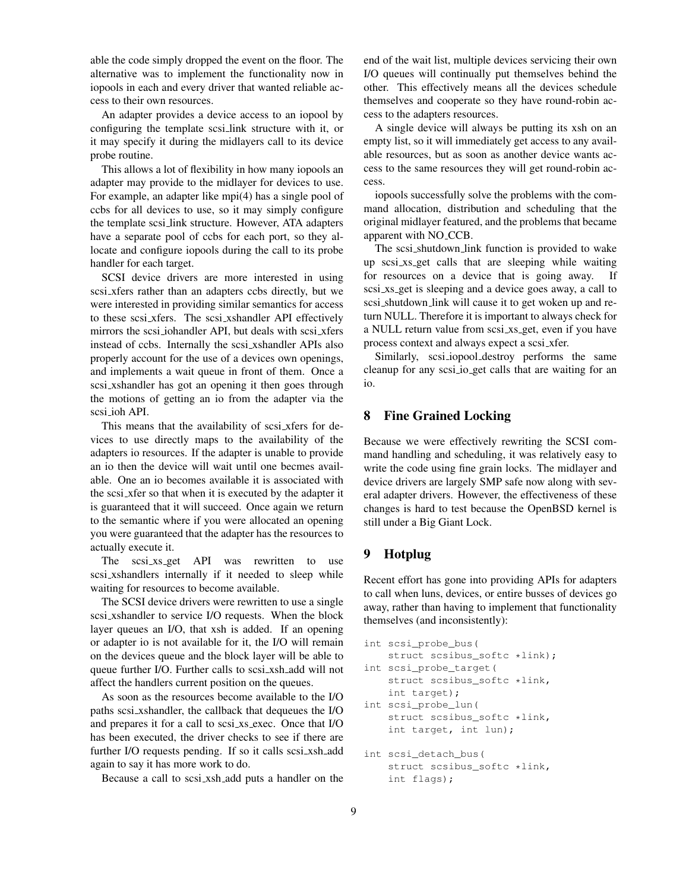able the code simply dropped the event on the floor. The alternative was to implement the functionality now in iopools in each and every driver that wanted reliable access to their own resources.

An adapter provides a device access to an iopool by configuring the template scsi link structure with it, or it may specify it during the midlayers call to its device probe routine.

This allows a lot of flexibility in how many iopools an adapter may provide to the midlayer for devices to use. For example, an adapter like mpi(4) has a single pool of ccbs for all devices to use, so it may simply configure the template scsi link structure. However, ATA adapters have a separate pool of ccbs for each port, so they allocate and configure iopools during the call to its probe handler for each target.

SCSI device drivers are more interested in using scsi xfers rather than an adapters ccbs directly, but we were interested in providing similar semantics for access to these scsi xfers. The scsi xshandler API effectively mirrors the scsi iohandler API, but deals with scsi xfers instead of ccbs. Internally the scsi xshandler APIs also properly account for the use of a devices own openings, and implements a wait queue in front of them. Once a scsi xshandler has got an opening it then goes through the motions of getting an io from the adapter via the scsi ioh API.

This means that the availability of scsi\_xfers for devices to use directly maps to the availability of the adapters io resources. If the adapter is unable to provide an io then the device will wait until one becmes available. One an io becomes available it is associated with the scsi xfer so that when it is executed by the adapter it is guaranteed that it will succeed. Once again we return to the semantic where if you were allocated an opening you were guaranteed that the adapter has the resources to actually execute it.

The scsi\_xs\_get API was rewritten to use scsi xshandlers internally if it needed to sleep while waiting for resources to become available.

The SCSI device drivers were rewritten to use a single scsi xshandler to service I/O requests. When the block layer queues an I/O, that xsh is added. If an opening or adapter io is not available for it, the I/O will remain on the devices queue and the block layer will be able to queue further I/O. Further calls to scsi xsh add will not affect the handlers current position on the queues.

As soon as the resources become available to the I/O paths scsi xshandler, the callback that dequeues the I/O and prepares it for a call to scsi\_xs\_exec. Once that I/O has been executed, the driver checks to see if there are further I/O requests pending. If so it calls scsi\_xsh\_add again to say it has more work to do.

Because a call to scsi xsh add puts a handler on the

end of the wait list, multiple devices servicing their own I/O queues will continually put themselves behind the other. This effectively means all the devices schedule themselves and cooperate so they have round-robin access to the adapters resources.

A single device will always be putting its xsh on an empty list, so it will immediately get access to any available resources, but as soon as another device wants access to the same resources they will get round-robin access.

iopools successfully solve the problems with the command allocation, distribution and scheduling that the original midlayer featured, and the problems that became apparent with NO CCB.

The scsi shutdown link function is provided to wake up scsi xs get calls that are sleeping while waiting for resources on a device that is going away. scsi xs get is sleeping and a device goes away, a call to scsi shutdown link will cause it to get woken up and return NULL. Therefore it is important to always check for a NULL return value from scsi xs get, even if you have process context and always expect a scsi xfer.

Similarly, scsi iopool destroy performs the same cleanup for any scsi io get calls that are waiting for an io.

#### 8 Fine Grained Locking

Because we were effectively rewriting the SCSI command handling and scheduling, it was relatively easy to write the code using fine grain locks. The midlayer and device drivers are largely SMP safe now along with several adapter drivers. However, the effectiveness of these changes is hard to test because the OpenBSD kernel is still under a Big Giant Lock.

# 9 Hotplug

Recent effort has gone into providing APIs for adapters to call when luns, devices, or entire busses of devices go away, rather than having to implement that functionality themselves (and inconsistently):

```
int scsi_probe_bus(
    struct scsibus_softc *link);
int scsi_probe_target(
    struct scsibus_softc *link,
    int target);
int scsi_probe_lun(
    struct scsibus_softc *link,
```
int scsi\_detach\_bus( struct scsibus\_softc \*link, int flags);

int target, int lun);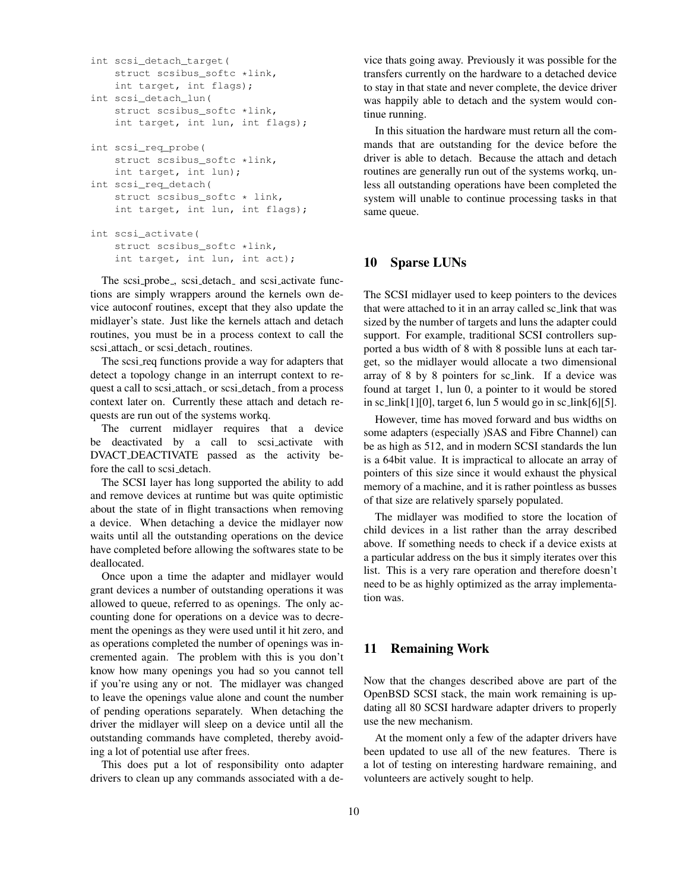```
int scsi_detach_target(
    struct scsibus_softc *link,
    int target, int flags);
int scsi_detach_lun(
    struct scsibus softc *link,
    int target, int lun, int flags);
int scsi_req_probe(
    struct scsibus_softc *link,
    int target, int lun);
int scsi_req_detach(
    struct scsibus_softc * link,
    int target, int lun, int flags);
int scsi_activate(
    struct scsibus_softc *link,
```
int target, int lun, int act);

The scsi-probe, scsi-detach and scsi-activate functions are simply wrappers around the kernels own device autoconf routines, except that they also update the midlayer's state. Just like the kernels attach and detach routines, you must be in a process context to call the scsi\_attach\_ or scsi\_detach\_ routines.

The scsi req functions provide a way for adapters that detect a topology change in an interrupt context to request a call to scsi\_attach\_ or scsi\_detach\_ from a process context later on. Currently these attach and detach requests are run out of the systems workq.

The current midlayer requires that a device be deactivated by a call to scsi activate with DVACT DEACTIVATE passed as the activity before the call to scsi detach.

The SCSI layer has long supported the ability to add and remove devices at runtime but was quite optimistic about the state of in flight transactions when removing a device. When detaching a device the midlayer now waits until all the outstanding operations on the device have completed before allowing the softwares state to be deallocated.

Once upon a time the adapter and midlayer would grant devices a number of outstanding operations it was allowed to queue, referred to as openings. The only accounting done for operations on a device was to decrement the openings as they were used until it hit zero, and as operations completed the number of openings was incremented again. The problem with this is you don't know how many openings you had so you cannot tell if you're using any or not. The midlayer was changed to leave the openings value alone and count the number of pending operations separately. When detaching the driver the midlayer will sleep on a device until all the outstanding commands have completed, thereby avoiding a lot of potential use after frees.

This does put a lot of responsibility onto adapter drivers to clean up any commands associated with a device thats going away. Previously it was possible for the transfers currently on the hardware to a detached device to stay in that state and never complete, the device driver was happily able to detach and the system would continue running.

In this situation the hardware must return all the commands that are outstanding for the device before the driver is able to detach. Because the attach and detach routines are generally run out of the systems workq, unless all outstanding operations have been completed the system will unable to continue processing tasks in that same queue.

#### 10 Sparse LUNs

The SCSI midlayer used to keep pointers to the devices that were attached to it in an array called sc link that was sized by the number of targets and luns the adapter could support. For example, traditional SCSI controllers supported a bus width of 8 with 8 possible luns at each target, so the midlayer would allocate a two dimensional array of 8 by 8 pointers for sc link. If a device was found at target 1, lun 0, a pointer to it would be stored in sc link[1][0], target 6, lun 5 would go in sc link[6][5].

However, time has moved forward and bus widths on some adapters (especially )SAS and Fibre Channel) can be as high as 512, and in modern SCSI standards the lun is a 64bit value. It is impractical to allocate an array of pointers of this size since it would exhaust the physical memory of a machine, and it is rather pointless as busses of that size are relatively sparsely populated.

The midlayer was modified to store the location of child devices in a list rather than the array described above. If something needs to check if a device exists at a particular address on the bus it simply iterates over this list. This is a very rare operation and therefore doesn't need to be as highly optimized as the array implementation was.

# 11 Remaining Work

Now that the changes described above are part of the OpenBSD SCSI stack, the main work remaining is updating all 80 SCSI hardware adapter drivers to properly use the new mechanism.

At the moment only a few of the adapter drivers have been updated to use all of the new features. There is a lot of testing on interesting hardware remaining, and volunteers are actively sought to help.